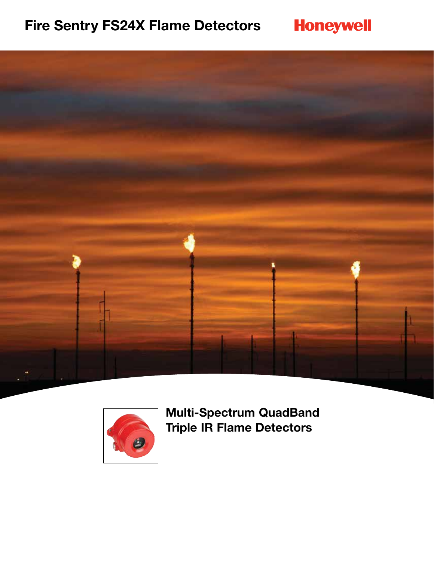# **Fire Sentry FS24X Flame Detectors**







**Multi-Spectrum QuadBand Triple IR Flame Detectors**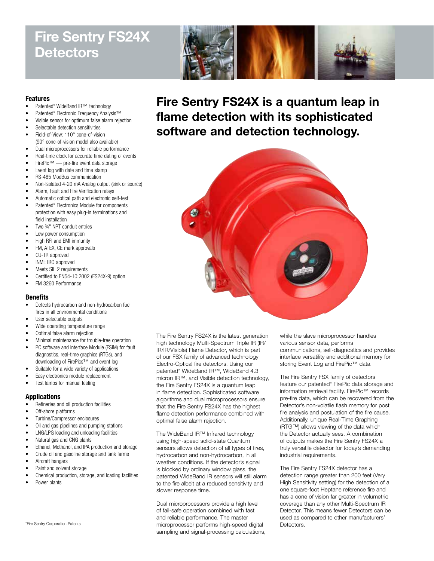## **Fire Sentry FS24X Detectors**



#### **Features**

- Patented\* WideBand IR™ technology
- Patented\* Electronic Frequency Analysis™
- Visible sensor for optimum false alarm rejection
- Selectable detection sensitivities
- Field-of-View: 110° cone-of-vision (90° cone-of-vision model also available)
- Dual microprocessors for reliable performance
- Real-time clock for accurate time dating of events
- FirePic™ pre-fire event data storage
- Event log with date and time stamp
- RS-485 ModBus communication
- Non-Isolated 4-20 mA Analog output (sink or source)
- Alarm, Fault and Fire Verification relays
- Automatic optical path and electronic self-test
- Patented\* Electronics Module for components protection with easy plug-in terminations and field installation
- Two 34" NPT conduit entries
- Low power consumption
- High RFI and EMI immunity
- FM, ATEX, CE mark approvals
- CU-TR approved
- INMETRO approved
- Meets SIL 2 requirements
- Certified to EN54-10:2002 (FS24X-9) option
- FM 3260 Performance

## **Benefits**

- Detects hydrocarbon and non-hydrocarbon fuel fires in all environmental conditions
- User selectable outputs
- Wide operating temperature range
- Optimal false alarm rejection
- Minimal maintenance for trouble-free operation
- PC software and Interface Module (FSIM) for fault diagnostics, real-time graphics (RTGs), and downloading of FirePics™ and event log
- Suitable for a wide variety of applications
- Easy electronics module replacement
- Test lamps for manual testing

#### **Applications**

- Refineries and oil production facilities
- Off-shore platforms
- Turbine/Compressor enclosures
- Oil and gas pipelines and pumping stations
- LNG/LPG loading and unloading facilities
- Natural gas and CNG plants
- Ethanol, Methanol, and IPA production and storage
- Crude oil and gasoline storage and tank farms
- Aircraft hangars
- Paint and solvent storage
- Chemical production, storage, and loading facilities
- Power plants

\*Fire Sentry Corporation Patents

**Fire Sentry FS24X is a quantum leap in flame detection with its sophisticated software and detection technology.**



The Fire Sentry FS24X is the latest generation high technology Multi-Spectrum Triple IR (IR/ IR/IR/Visible) Flame Detector, which is part of our FSX family of advanced technology Electro-Optical fire detectors. Using our patented\* WideBand IR™, WideBand 4.3 micron IR™, and Visible detection technology, the Fire Sentry FS24X is a quantum leap in flame detection. Sophisticated software algorithms and dual microprocessors ensure that the Fire Sentry FS24X has the highest flame detection performance combined with optimal false alarm rejection.

The WideBand IR™ Infrared technology using high-speed solid-state Quantum sensors allows detection of all types of fires, hydrocarbon and non-hydrocarbon, in all weather conditions. If the detector's signal is blocked by ordinary window glass, the patented WideBand IR sensors will still alarm to the fire albeit at a reduced sensitivity and slower response time.

Dual microprocessors provide a high level of fail-safe operation combined with fast and reliable performance. The master microprocessor performs high-speed digital sampling and signal-processing calculations, while the slave microprocessor handles various sensor data, performs communications, self-diagnostics and provides interface versatility and additional memory for storing Event Log and FirePic™ data.

The Fire Sentry FSX family of detectors feature our patented\* FirePic data storage and information retrieval facility. FirePic™ records pre-fire data, which can be recovered from the Detector's non-volatile flash memory for post fire analysis and postulation of the fire cause. Additionally, unique Real-Time Graphing (RTG™) allows viewing of the data which the Detector actually sees. A combination of outputs makes the Fire Sentry FS24X a truly versatile detector for today's demanding industrial requirements.

The Fire Sentry FS24X detector has a detection range greater than 200 feet (Very High Sensitivity setting) for the detection of a one square-foot Heptane reference fire and has a cone of vision far greater in volumetric coverage than any other Multi-Spectrum IR Detector. This means fewer Detectors can be used as compared to other manufacturers' Detectors.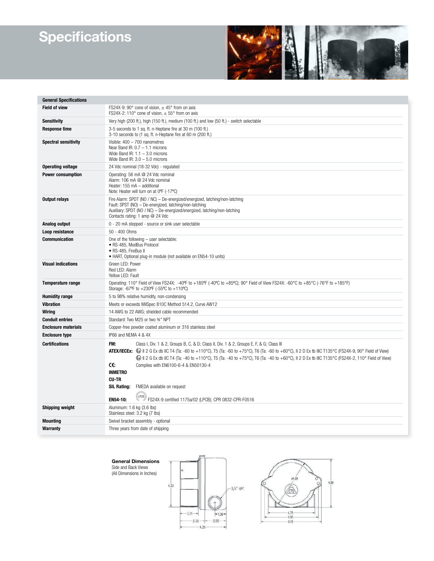# **Specifications**



| <b>General Specifications</b> |                                                                                                                                                                                                                                                                                                                                                                                                                                                                                                                                                                                                                                   |
|-------------------------------|-----------------------------------------------------------------------------------------------------------------------------------------------------------------------------------------------------------------------------------------------------------------------------------------------------------------------------------------------------------------------------------------------------------------------------------------------------------------------------------------------------------------------------------------------------------------------------------------------------------------------------------|
| <b>Field of view</b>          | FS24X-9: 90 $^{\circ}$ cone of vision, $\pm$ 45 $^{\circ}$ from on axis<br>FS24X-2: 110° cone of vision, $\pm$ 55° from on axis                                                                                                                                                                                                                                                                                                                                                                                                                                                                                                   |
| <b>Sensitivity</b>            | Very high (200 ft.), high (150 ft.), medium (100 ft.) and low (50 ft.) - switch selectable                                                                                                                                                                                                                                                                                                                                                                                                                                                                                                                                        |
| <b>Response time</b>          | 3-5 seconds to 1 sq. ft. n-Heptane fire at 30 m (100 ft.)<br>3-10 seconds to (1 sq. ft. n-Heptane fire at 60 m (200 ft.)                                                                                                                                                                                                                                                                                                                                                                                                                                                                                                          |
| <b>Spectral sensitivity</b>   | Visible: $400 - 700$ nanometres<br>Near Band IR: $0.7 - 1.1$ microns<br>Wide Band IR: $1.1 - 3.0$ microns<br>Wide Band IR: $3.0 - 5.0$ microns                                                                                                                                                                                                                                                                                                                                                                                                                                                                                    |
| <b>Operating voltage</b>      | 24 Vdc nominal (18-32 Vdc) - regulated                                                                                                                                                                                                                                                                                                                                                                                                                                                                                                                                                                                            |
| <b>Power consumption</b>      | Operating: 56 mA @ 24 Vdc nominal<br>Alarm: 106 mA @ 24 Vdc nominal<br>Heater: 155 mA - additional<br>Note: Heater will turn on at 0°F (-17°C)                                                                                                                                                                                                                                                                                                                                                                                                                                                                                    |
| Output relays                 | Fire Alarm: SPDT (NO / NC) - De-energized/energized, latching/non-latching<br>Fault: SPST (NO) - De-energized, latching/non-latching<br>Auxiliary: SPDT (NO / NC) - De-energized/energized, latching/non-latching<br>Contacts rating: 1 amp @ 24 Vdc                                                                                                                                                                                                                                                                                                                                                                              |
| Analog output                 | 0 - 20 mA stepped - source or sink user selectable                                                                                                                                                                                                                                                                                                                                                                                                                                                                                                                                                                                |
| Loop resistance               | 50 - 400 Ohms                                                                                                                                                                                                                                                                                                                                                                                                                                                                                                                                                                                                                     |
| <b>Communication</b>          | One of the following - user selectable:<br>· RS-485, ModBus Protocol<br>· RS-485, FireBus II<br>• HART, Optional plug-in module (not available on EN54-10 units)                                                                                                                                                                                                                                                                                                                                                                                                                                                                  |
| <b>Visual indications</b>     | Green LED: Power<br>Red LED: Alarm<br>Yellow LED: Fault                                                                                                                                                                                                                                                                                                                                                                                                                                                                                                                                                                           |
| <b>Temperature range</b>      | Operating: 110° Field of View FS24X: -40°F to +185°F (-40°C to +85°C); 90° Field of View FS24X: -60°C to +85°C (-76°F to +185°F)<br>Storage: -67°F to +230°F (-55°C to +110°C)                                                                                                                                                                                                                                                                                                                                                                                                                                                    |
| <b>Humidity range</b>         | 5 to 98% relative humidity, non-condensing                                                                                                                                                                                                                                                                                                                                                                                                                                                                                                                                                                                        |
| <b>Vibration</b>              | Meets or exceeds MilSpec 810C Method 514.2, Curve AW12                                                                                                                                                                                                                                                                                                                                                                                                                                                                                                                                                                            |
| Wiring                        | 14 AWG to 22 AWG; shielded cable recommended                                                                                                                                                                                                                                                                                                                                                                                                                                                                                                                                                                                      |
| <b>Conduit entries</b>        | Standard: Two M25 or two 34" NPT                                                                                                                                                                                                                                                                                                                                                                                                                                                                                                                                                                                                  |
| <b>Enclosure materials</b>    | Copper-free powder coated aluminum or 316 stainless steel                                                                                                                                                                                                                                                                                                                                                                                                                                                                                                                                                                         |
| <b>Enclosure type</b>         | IP66 and NEMA 4 & 4X                                                                                                                                                                                                                                                                                                                                                                                                                                                                                                                                                                                                              |
| <b>Certifications</b>         | FM:<br>Class I, Div. 1 & 2, Groups B, C, & D; Class II, Div. 1 & 2, Groups E, F, & G; Class III<br>ATEX/IECEx: $\&$    2 G Ex db IIC T4 (Ta: -60 to +110°C), T5 (Ta: -60 to +75°C), T6 (Ta: -60 to +60°C), II 2 D Ex tb IIIC T135°C (FS24X-9, 90° Field of View)<br>Let C Ex db IIC T4 (Ta: -40 to +110°C), T5 (Ta: -40 to +75°C), T6 (Ta: -40 to +60°C), II 2 D Ex tb IIIC T135°C (FS24X-2, 110° Field of View)<br>Œ<br>Complies with EN6100-6-4 & EN50130-4<br><b>INMETRO</b><br><b>CU-TR</b><br><b>SIL Rating:</b><br>FMEDA available on request<br>(uka)<br>EN54-10:<br>FS24X-9 certified 1175a/02 (LPCB); CPR 0832-CPR-F0516 |
| <b>Shipping weight</b>        | Aluminum: 1.6 kg (3.6 lbs)<br>Stainless steel: 3.2 kg (7 lbs)                                                                                                                                                                                                                                                                                                                                                                                                                                                                                                                                                                     |
| <b>Mounting</b>               | Swivel bracket assembly - optional                                                                                                                                                                                                                                                                                                                                                                                                                                                                                                                                                                                                |
| <b>Warranty</b>               | Three years from date of shipping                                                                                                                                                                                                                                                                                                                                                                                                                                                                                                                                                                                                 |